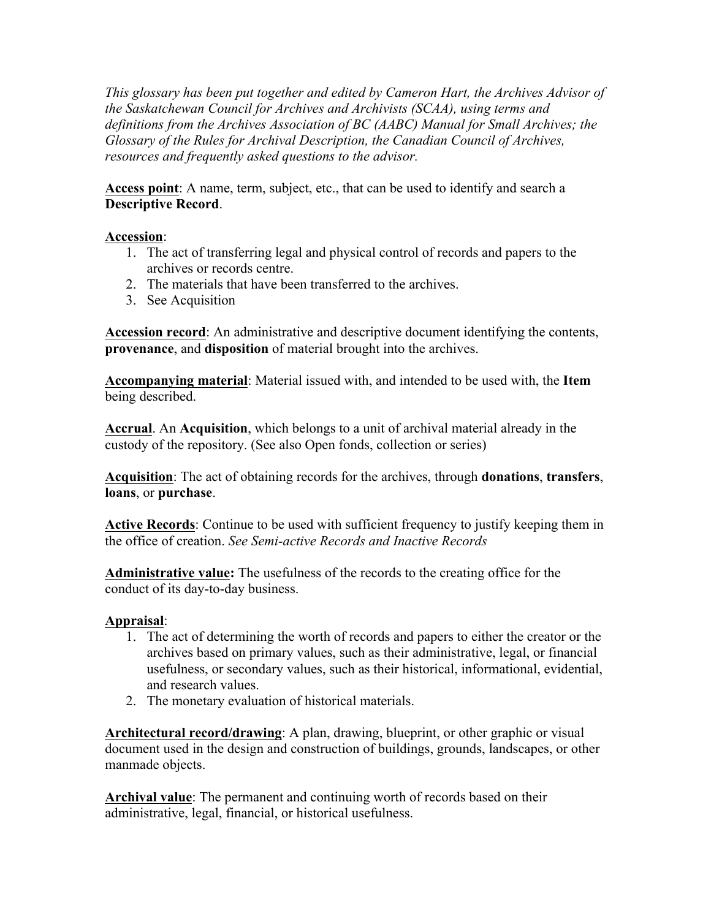*This glossary has been put together and edited by Cameron Hart, the Archives Advisor of the Saskatchewan Council for Archives and Archivists (SCAA), using terms and definitions from the Archives Association of BC (AABC) Manual for Small Archives; the Glossary of the Rules for Archival Description, the Canadian Council of Archives, resources and frequently asked questions to the advisor.*

**Access point**: A name, term, subject, etc., that can be used to identify and search a **Descriptive Record**.

### **Accession**:

- 1. The act of transferring legal and physical control of records and papers to the archives or records centre.
- 2. The materials that have been transferred to the archives.
- 3. See Acquisition

**Accession record**: An administrative and descriptive document identifying the contents, **provenance**, and **disposition** of material brought into the archives.

**Accompanying material**: Material issued with, and intended to be used with, the **Item** being described.

**Accrual**. An **Acquisition**, which belongs to a unit of archival material already in the custody of the repository. (See also Open fonds, collection or series)

**Acquisition**: The act of obtaining records for the archives, through **donations**, **transfers**, **loans**, or **purchase**.

**Active Records**: Continue to be used with sufficient frequency to justify keeping them in the office of creation. *See Semi-active Records and Inactive Records*

**Administrative value:** The usefulness of the records to the creating office for the conduct of its day-to-day business.

### **Appraisal**:

- 1. The act of determining the worth of records and papers to either the creator or the archives based on primary values, such as their administrative, legal, or financial usefulness, or secondary values, such as their historical, informational, evidential, and research values.
- 2. The monetary evaluation of historical materials.

**Architectural record/drawing**: A plan, drawing, blueprint, or other graphic or visual document used in the design and construction of buildings, grounds, landscapes, or other manmade objects.

**Archival value**: The permanent and continuing worth of records based on their administrative, legal, financial, or historical usefulness.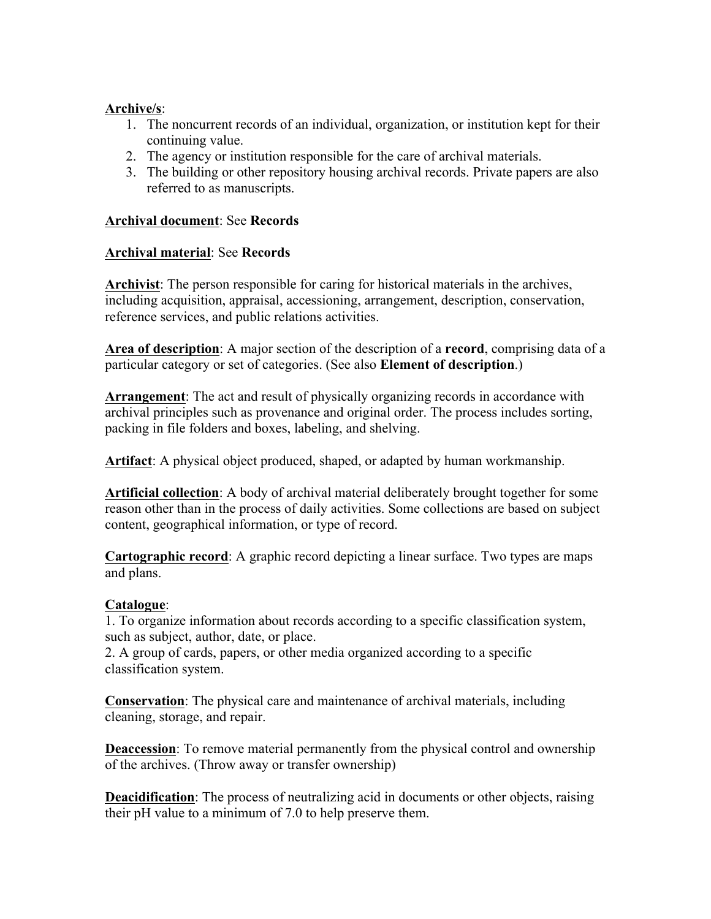#### **Archive/s**:

- 1. The noncurrent records of an individual, organization, or institution kept for their continuing value.
- 2. The agency or institution responsible for the care of archival materials.
- 3. The building or other repository housing archival records. Private papers are also referred to as manuscripts.

### **Archival document**: See **Records**

### **Archival material**: See **Records**

**Archivist**: The person responsible for caring for historical materials in the archives, including acquisition, appraisal, accessioning, arrangement, description, conservation, reference services, and public relations activities.

**Area of description**: A major section of the description of a **record**, comprising data of a particular category or set of categories. (See also **Element of description**.)

**Arrangement**: The act and result of physically organizing records in accordance with archival principles such as provenance and original order. The process includes sorting, packing in file folders and boxes, labeling, and shelving.

**Artifact**: A physical object produced, shaped, or adapted by human workmanship.

**Artificial collection**: A body of archival material deliberately brought together for some reason other than in the process of daily activities. Some collections are based on subject content, geographical information, or type of record.

**Cartographic record**: A graphic record depicting a linear surface. Two types are maps and plans.

### **Catalogue**:

1. To organize information about records according to a specific classification system, such as subject, author, date, or place.

2. A group of cards, papers, or other media organized according to a specific classification system.

**Conservation**: The physical care and maintenance of archival materials, including cleaning, storage, and repair.

**Deaccession**: To remove material permanently from the physical control and ownership of the archives. (Throw away or transfer ownership)

**Deacidification**: The process of neutralizing acid in documents or other objects, raising their pH value to a minimum of 7.0 to help preserve them.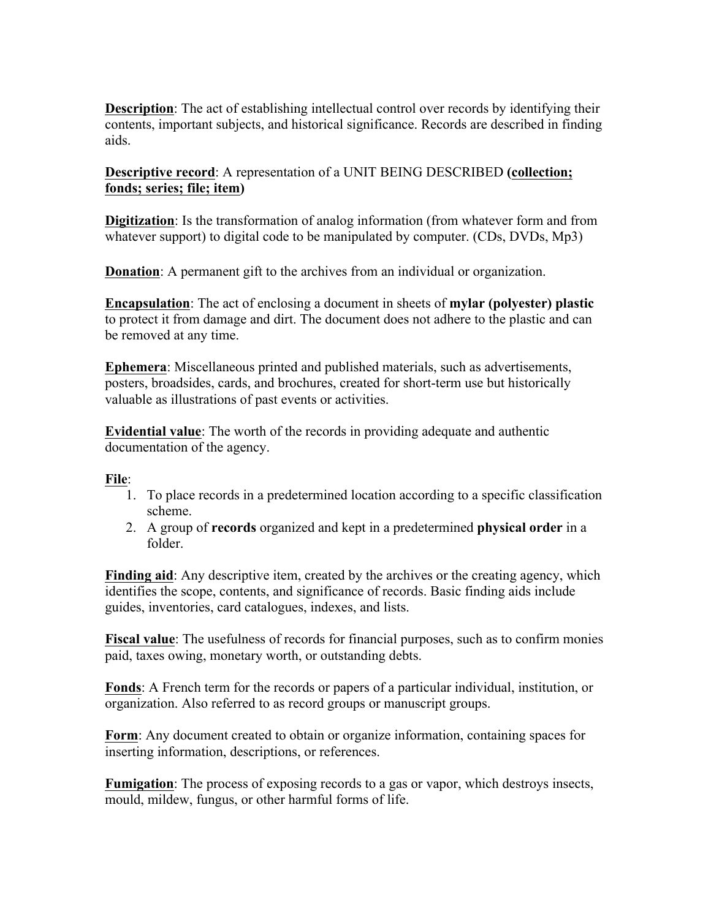**Description**: The act of establishing intellectual control over records by identifying their contents, important subjects, and historical significance. Records are described in finding aids.

**Descriptive record**: A representation of a UNIT BEING DESCRIBED **(collection; fonds; series; file; item)**

**Digitization**: Is the transformation of analog information (from whatever form and from whatever support) to digital code to be manipulated by computer. (CDs, DVDs, Mp3)

**Donation**: A permanent gift to the archives from an individual or organization.

**Encapsulation**: The act of enclosing a document in sheets of **mylar (polyester) plastic** to protect it from damage and dirt. The document does not adhere to the plastic and can be removed at any time.

**Ephemera**: Miscellaneous printed and published materials, such as advertisements, posters, broadsides, cards, and brochures, created for short-term use but historically valuable as illustrations of past events or activities.

**Evidential value**: The worth of the records in providing adequate and authentic documentation of the agency.

#### **File**:

- 1. To place records in a predetermined location according to a specific classification scheme.
- 2. A group of **records** organized and kept in a predetermined **physical order** in a folder.

**Finding aid:** Any descriptive item, created by the archives or the creating agency, which identifies the scope, contents, and significance of records. Basic finding aids include guides, inventories, card catalogues, indexes, and lists.

**Fiscal value**: The usefulness of records for financial purposes, such as to confirm monies paid, taxes owing, monetary worth, or outstanding debts.

**Fonds**: A French term for the records or papers of a particular individual, institution, or organization. Also referred to as record groups or manuscript groups.

**Form**: Any document created to obtain or organize information, containing spaces for inserting information, descriptions, or references.

**Fumigation**: The process of exposing records to a gas or vapor, which destroys insects, mould, mildew, fungus, or other harmful forms of life.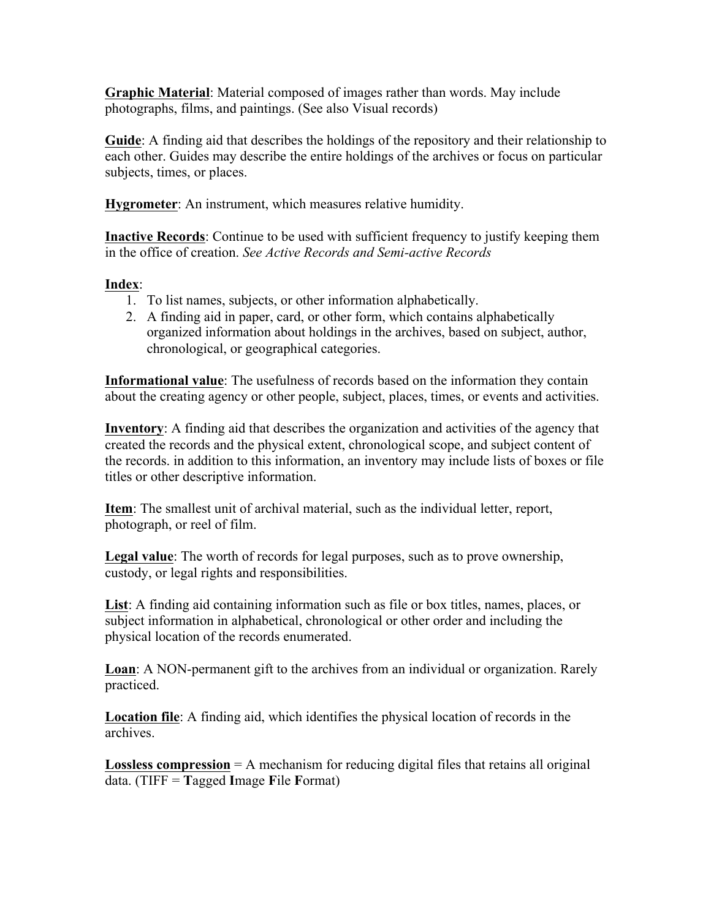**Graphic Material**: Material composed of images rather than words. May include photographs, films, and paintings. (See also Visual records)

**Guide**: A finding aid that describes the holdings of the repository and their relationship to each other. Guides may describe the entire holdings of the archives or focus on particular subjects, times, or places.

**Hygrometer**: An instrument, which measures relative humidity.

**Inactive Records**: Continue to be used with sufficient frequency to justify keeping them in the office of creation. *See Active Records and Semi-active Records*

# **Index**:

- 1. To list names, subjects, or other information alphabetically.
- 2. A finding aid in paper, card, or other form, which contains alphabetically organized information about holdings in the archives, based on subject, author, chronological, or geographical categories.

**Informational value**: The usefulness of records based on the information they contain about the creating agency or other people, subject, places, times, or events and activities.

**Inventory**: A finding aid that describes the organization and activities of the agency that created the records and the physical extent, chronological scope, and subject content of the records. in addition to this information, an inventory may include lists of boxes or file titles or other descriptive information.

**Item**: The smallest unit of archival material, such as the individual letter, report, photograph, or reel of film.

**Legal value**: The worth of records for legal purposes, such as to prove ownership, custody, or legal rights and responsibilities.

**List**: A finding aid containing information such as file or box titles, names, places, or subject information in alphabetical, chronological or other order and including the physical location of the records enumerated.

**Loan**: A NON-permanent gift to the archives from an individual or organization. Rarely practiced.

**Location file**: A finding aid, which identifies the physical location of records in the archives.

**Lossless compression** = A mechanism for reducing digital files that retains all original data. (TIFF = **T**agged **I**mage **F**ile **F**ormat)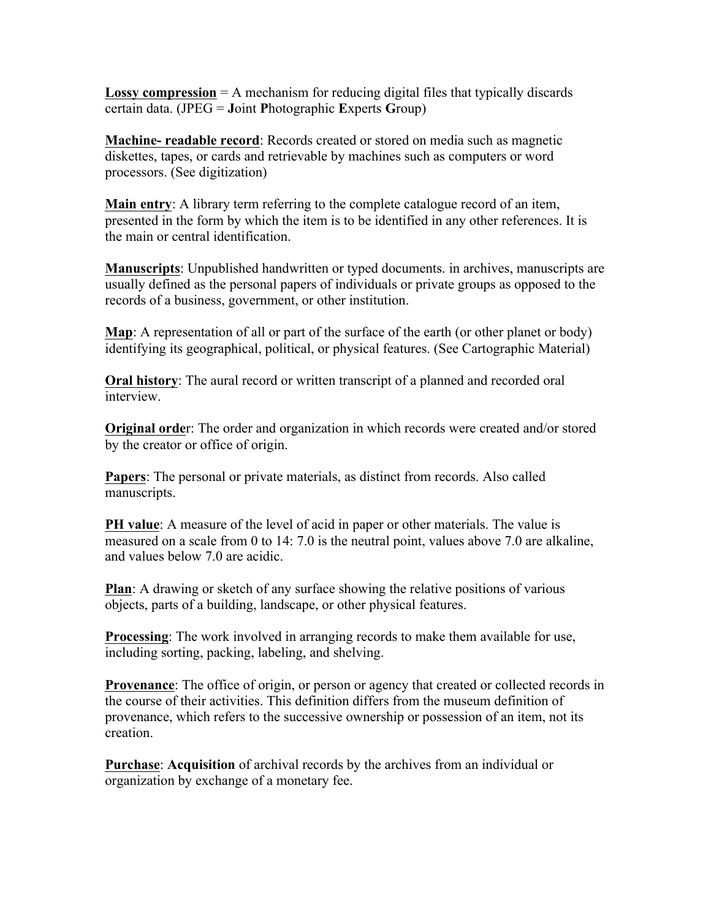**Lossy compression** = A mechanism for reducing digital files that typically discards certain data. (JPEG = **J**oint **P**hotographic **E**xperts **G**roup)

**Machine- readable record**: Records created or stored on media such as magnetic diskettes, tapes, or cards and retrievable by machines such as computers or word processors. (See digitization)

**Main entry**: A library term referring to the complete catalogue record of an item, presented in the form by which the item is to be identified in any other references. It is the main or central identification.

**Manuscripts**: Unpublished handwritten or typed documents. in archives, manuscripts are usually defined as the personal papers of individuals or private groups as opposed to the records of a business, government, or other institution.

**Map**: A representation of all or part of the surface of the earth (or other planet or body) identifying its geographical, political, or physical features. (See Cartographic Material)

**Oral history**: The aural record or written transcript of a planned and recorded oral interview.

**Original orde**r: The order and organization in which records were created and/or stored by the creator or office of origin.

**Papers**: The personal or private materials, as distinct from records. Also called manuscripts.

**PH value**: A measure of the level of acid in paper or other materials. The value is measured on a scale from 0 to 14: 7.0 is the neutral point, values above 7.0 are alkaline, and values below 7.0 are acidic.

**Plan**: A drawing or sketch of any surface showing the relative positions of various objects, parts of a building, landscape, or other physical features.

**Processing**: The work involved in arranging records to make them available for use, including sorting, packing, labeling, and shelving.

**Provenance**: The office of origin, or person or agency that created or collected records in the course of their activities. This definition differs from the museum definition of provenance, which refers to the successive ownership or possession of an item, not its creation.

**Purchase**: **Acquisition** of archival records by the archives from an individual or organization by exchange of a monetary fee.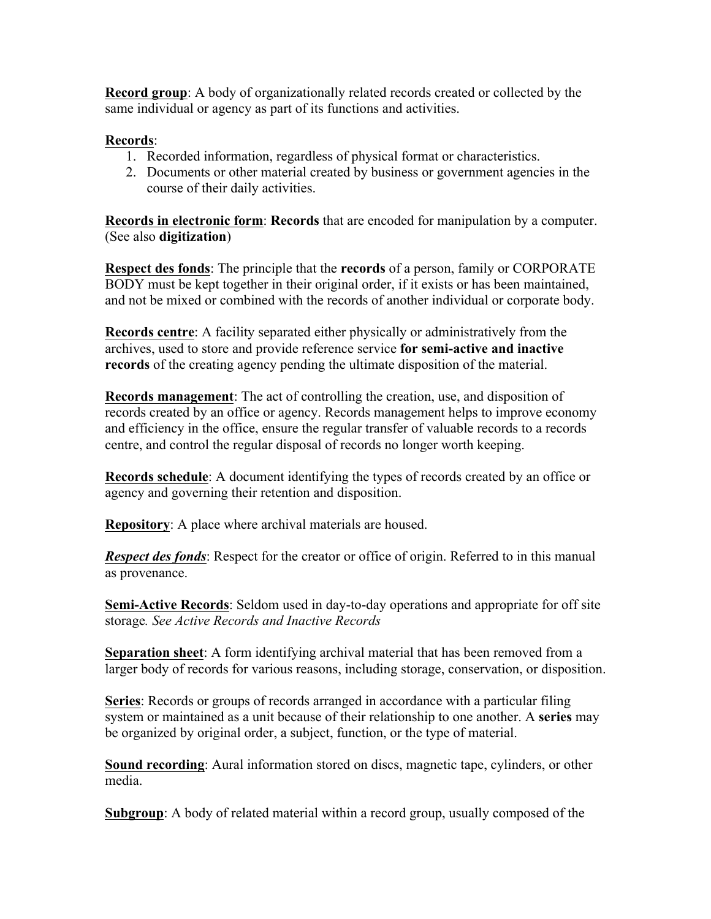**Record group**: A body of organizationally related records created or collected by the same individual or agency as part of its functions and activities.

## **Records**:

- 1. Recorded information, regardless of physical format or characteristics.
- 2. Documents or other material created by business or government agencies in the course of their daily activities.

**Records in electronic form**: **Records** that are encoded for manipulation by a computer. (See also **digitization**)

**Respect des fonds**: The principle that the **records** of a person, family or CORPORATE BODY must be kept together in their original order, if it exists or has been maintained, and not be mixed or combined with the records of another individual or corporate body.

**Records centre**: A facility separated either physically or administratively from the archives, used to store and provide reference service **for semi-active and inactive records** of the creating agency pending the ultimate disposition of the material.

**Records management**: The act of controlling the creation, use, and disposition of records created by an office or agency. Records management helps to improve economy and efficiency in the office, ensure the regular transfer of valuable records to a records centre, and control the regular disposal of records no longer worth keeping.

**Records schedule**: A document identifying the types of records created by an office or agency and governing their retention and disposition.

**Repository**: A place where archival materials are housed.

*Respect des fonds*: Respect for the creator or office of origin. Referred to in this manual as provenance.

**Semi-Active Records**: Seldom used in day-to-day operations and appropriate for off site storage*. See Active Records and Inactive Records*

**Separation sheet**: A form identifying archival material that has been removed from a larger body of records for various reasons, including storage, conservation, or disposition.

**Series**: Records or groups of records arranged in accordance with a particular filing system or maintained as a unit because of their relationship to one another. A **series** may be organized by original order, a subject, function, or the type of material.

**Sound recording**: Aural information stored on discs, magnetic tape, cylinders, or other media.

**Subgroup**: A body of related material within a record group, usually composed of the